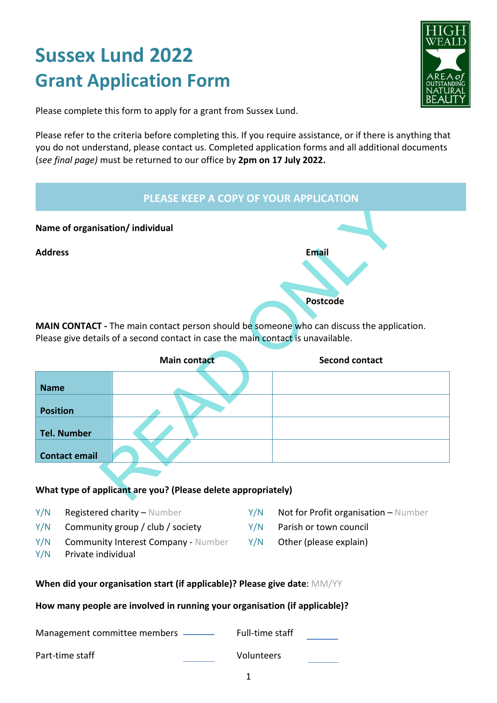# **Sussex Lund 2022 Grant Application Form**



Please complete this form to apply for a grant from Sussex Lund.

Please refer to the criteria before completing this. If you require assistance, or if there is anything that you do not understand, please contact us. Completed application forms and all additional documents (*see final page)* must be returned to our office by **2pm on 17 July 2022.** 



**MAIN CONTACT -** The main contact person should be someone who can discuss the application. Please give details of a second contact in case the main contact is unavailable.

|                      | <b>Main contact</b> | <b>Second contact</b> |
|----------------------|---------------------|-----------------------|
| <b>Name</b>          |                     |                       |
| <b>Position</b>      |                     |                       |
| <b>Tel. Number</b>   |                     |                       |
| <b>Contact email</b> |                     |                       |

#### **What type of applicant are you? (Please delete appropriately)**

- Y/N Registered charity Number Y/N Not for Profit organisation Number
- $Y/N$  Community group / club / society  $Y/N$  Parish or town council
- Y/N Community Interest Company Number Y/N Other (please explain)
- Y/N Private individual
- 
- 
- 

#### **When did your organisation start (if applicable)? Please give date**: MM/YY

#### **How many people are involved in running your organisation (if applicable)?**

Management committee members - Full-time staff Part-time staff Volunteers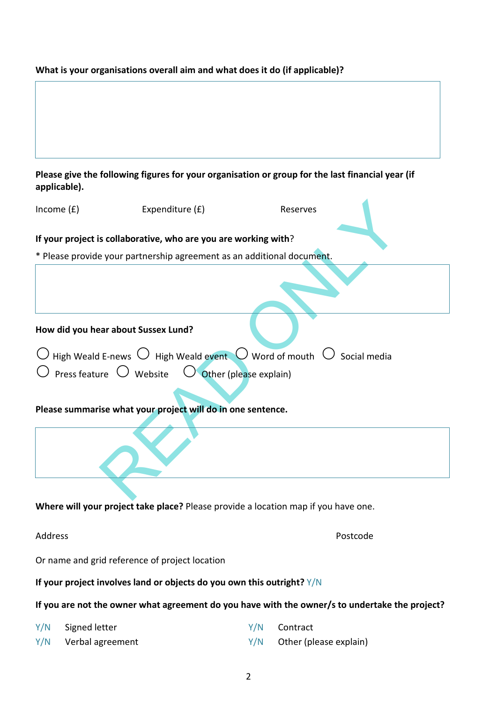## **What is your organisations overall aim and what does it do (if applicable)?**

| Please give the following figures for your organisation or group for the last financial year (if |  |
|--------------------------------------------------------------------------------------------------|--|
| applicable).                                                                                     |  |

| Income $(f)$                                                                       | Expenditure (£)                                                        | Reserves                                                                                                  |          |  |
|------------------------------------------------------------------------------------|------------------------------------------------------------------------|-----------------------------------------------------------------------------------------------------------|----------|--|
| If your project is collaborative, who are you are working with?                    |                                                                        |                                                                                                           |          |  |
|                                                                                    | * Please provide your partnership agreement as an additional document. |                                                                                                           |          |  |
|                                                                                    |                                                                        |                                                                                                           |          |  |
| How did you hear about Sussex Lund?                                                |                                                                        |                                                                                                           |          |  |
|                                                                                    |                                                                        | $\bigcirc$ High Weald E-news $\bigcirc$ High Weald event $\bigcirc$ Word of mouth $\bigcirc$ Social media |          |  |
|                                                                                    | Press feature $\bigcirc$ Website $\bigcirc$ Other (please explain)     |                                                                                                           |          |  |
|                                                                                    |                                                                        |                                                                                                           |          |  |
| Please summarise what your project will do in one sentence.                        |                                                                        |                                                                                                           |          |  |
|                                                                                    |                                                                        |                                                                                                           |          |  |
|                                                                                    |                                                                        |                                                                                                           |          |  |
| Where will your project take place? Please provide a location map if you have one. |                                                                        |                                                                                                           |          |  |
| Address                                                                            |                                                                        |                                                                                                           | Postcode |  |
| Or name and grid reference of project location                                     |                                                                        |                                                                                                           |          |  |

# **If your project involves land or objects do you own this outright?** Y/N

# **If you are not the owner what agreement do you have with the owner/s to undertake the project?**

| Y/N Signed letter    | Y/N Contract                 |
|----------------------|------------------------------|
| Y/N Verbal agreement | $Y/N$ Other (please explain) |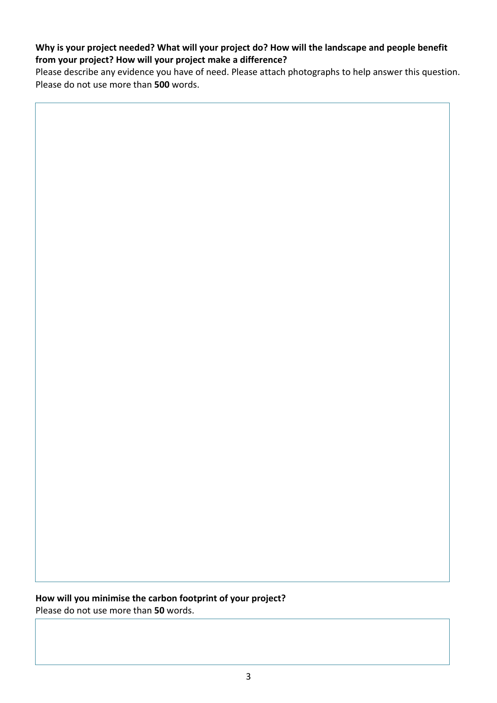### **Why is your project needed? What will your project do? How will the landscape and people benefit from your project? How will your project make a difference?**

Please describe any evidence you have of need. Please attach photographs to help answer this question. Please do not use more than **500** words.

**How will you minimise the carbon footprint of your project?**  Please do not use more than **50** words.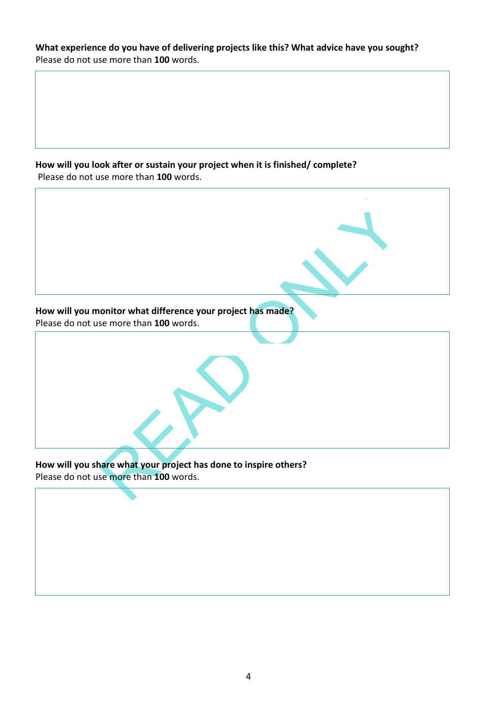**What experience do you have of delivering projects like this? What advice have you sought?**  Please do not use more than **100** words.

**How will you look after or sustain your project when it is finished/ complete?**  Please do not use more than **100** words.

 $\mathbf{r}$ 

| How will you monitor what difference your project has made?                                                |
|------------------------------------------------------------------------------------------------------------|
| Please do not use more than 100 words.                                                                     |
|                                                                                                            |
| How will you share what your project has done to inspire others?<br>Please do not use more than 100 words. |
|                                                                                                            |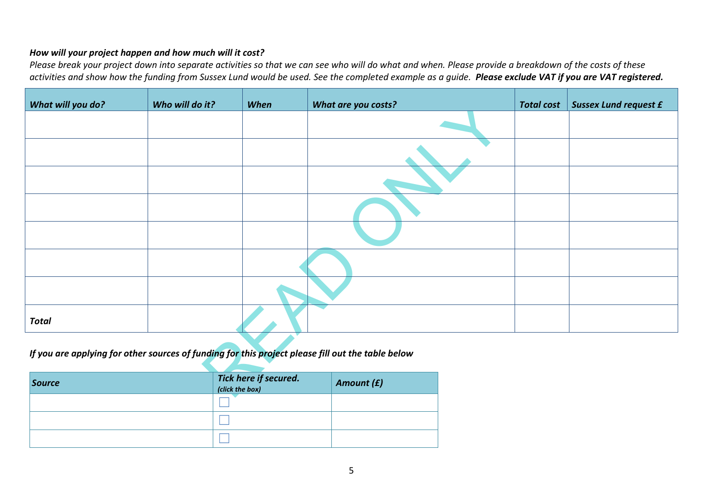#### *How will your project happen and how much will it cost?*

*Please break your project down into separate activities so that we can see who will do what and when. Please provide a breakdown of the costs of these activities and show how the funding from Sussex Lund would be used. See the completed example as a guide. Please exclude VAT if you are VAT registered.*

| What will you do?                                                                                 | Who will do it? | When                                     | What are you costs? |  | <b>Total cost</b> | <b>Sussex Lund request £</b> |
|---------------------------------------------------------------------------------------------------|-----------------|------------------------------------------|---------------------|--|-------------------|------------------------------|
|                                                                                                   |                 |                                          |                     |  |                   |                              |
|                                                                                                   |                 |                                          |                     |  |                   |                              |
|                                                                                                   |                 |                                          |                     |  |                   |                              |
|                                                                                                   |                 |                                          |                     |  |                   |                              |
|                                                                                                   |                 |                                          |                     |  |                   |                              |
|                                                                                                   |                 |                                          |                     |  |                   |                              |
|                                                                                                   |                 |                                          |                     |  |                   |                              |
| <b>Total</b>                                                                                      |                 |                                          |                     |  |                   |                              |
| If you are applying for other sources of funding for this project please fill out the table below |                 |                                          |                     |  |                   |                              |
| Source                                                                                            |                 | Tick here if secured.<br>(click the box) | Amount (£)          |  |                   |                              |

| <b>Source</b> | Tick here if secured.<br>(click the box) | Amount (£) |
|---------------|------------------------------------------|------------|
|               |                                          |            |
|               |                                          |            |
|               |                                          |            |